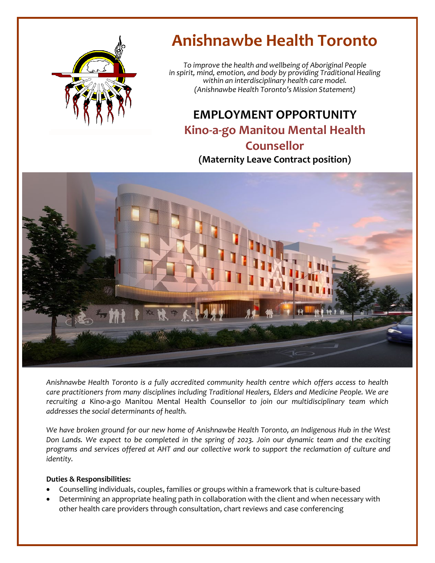

# **Anishnawbe Health Toronto**

*To improve the health and wellbeing of Aboriginal People in spirit, mind, emotion, and body by providing Traditional Healing within an interdisciplinary health care model. (Anishnawbe Health Toronto's Mission Statement)*

## **EMPLOYMENT OPPORTUNITY Kino-a-go Manitou Mental Health Counsellor (Maternity Leave Contract position)**



*Anishnawbe Health Toronto is a fully accredited community health centre which offers access to health care practitioners from many disciplines including Traditional Healers, Elders and Medicine People. We are recruiting a* Kino-a-go Manitou Mental Health Counsellor *to join our multidisciplinary team which addresses the social determinants of health.*

*We have broken ground for our new home of Anishnawbe Health Toronto, an Indigenous Hub in the West Don Lands. We expect to be completed in the spring of 2023. Join our dynamic team and the exciting programs and services offered at AHT and our collective work to support the reclamation of culture and identity.*

#### **Duties & Responsibilities:**

- Counselling individuals, couples, families or groups within a framework that is culture-based
- Determining an appropriate healing path in collaboration with the client and when necessary with other health care providers through consultation, chart reviews and case conferencing